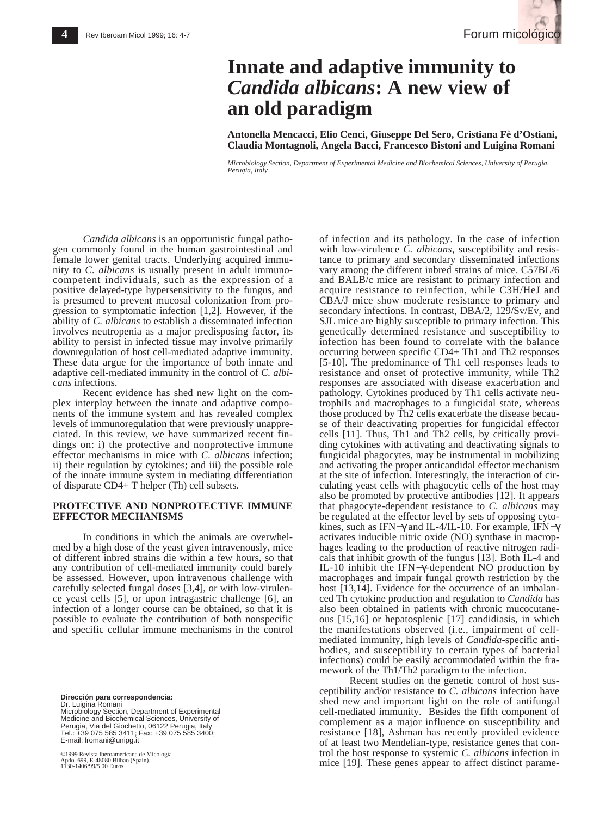# **Innate and adaptive immunity to** *Candida albicans***: A new view of an old paradigm**

**Antonella Mencacci, Elio Cenci, Giuseppe Del Sero, Cristiana Fè d'Ostiani, Claudia Montagnoli, Angela Bacci, Francesco Bistoni and Luigina Romani**

*Microbiology Section, Department of Experimental Medicine and Biochemical Sciences, University of Perugia, Perugia, Italy*

*Candida albicans* is an opportunistic fungal pathogen commonly found in the human gastrointestinal and female lower genital tracts. Underlying acquired immunity to *C. albicans* is usually present in adult immunocompetent individuals, such as the expression of a positive delayed-type hypersensitivity to the fungus, and is presumed to prevent mucosal colonization from progression to symptomatic infection [1,2]. However, if the ability of *C. albicans* to establish a disseminated infection involves neutropenia as a major predisposing factor, its ability to persist in infected tissue may involve primarily downregulation of host cell-mediated adaptive immunity. These data argue for the importance of both innate and adaptive cell-mediated immunity in the control of *C. albicans* infections.

Recent evidence has shed new light on the complex interplay between the innate and adaptive components of the immune system and has revealed complex levels of immunoregulation that were previously unappreciated. In this review, we have summarized recent findings on: i) the protective and nonprotective immune effector mechanisms in mice with *C. albicans* infection; ii) their regulation by cytokines; and iii) the possible role of the innate immune system in mediating differentiation of disparate CD4+ T helper (Th) cell subsets.

### **PROTECTIVE AND NONPROTECTIVE IMMUNE EFFECTOR MECHANISMS**

In conditions in which the animals are overwhelmed by a high dose of the yeast given intravenously, mice of different inbred strains die within a few hours, so that any contribution of cell-mediated immunity could barely be assessed. However, upon intravenous challenge with carefully selected fungal doses [3,4], or with low-virulence yeast cells [5], or upon intragastric challenge [6], an infection of a longer course can be obtained, so that it is possible to evaluate the contribution of both nonspecific and specific cellular immune mechanisms in the control

**Dirección para correspondencia:**  Dr. Luigina Romani Microbiology Section, Department of Experimental Medicine and Biochemical Sciences, University of Perugia, Via del Giochetto, 06122 Perugia, Italy Tel.: +39 075 585 3411; Fax: +39 075 585 3400; E-mail: lromani@unipg.it

©1999 Revista Iberoamericana de Micología Apdo. 699, E-48080 Bilbao (Spain). Apdo. 699, E-40000 Euros<br>1130-1406/99/5.00 Euros

of infection and its pathology. In the case of infection with low-virulence *C. albicans*, susceptibility and resistance to primary and secondary disseminated infections vary among the different inbred strains of mice. C57BL/6 and BALB/c mice are resistant to primary infection and acquire resistance to reinfection, while C3H/HeJ and CBA/J mice show moderate resistance to primary and secondary infections. In contrast, DBA/2, 129/Sv/Ev, and SJL mice are highly susceptible to primary infection. This genetically determined resistance and susceptibility to infection has been found to correlate with the balance occurring between specific CD4+ Th1 and Th2 responses [5-10]. The predominance of Th1 cell responses leads to resistance and onset of protective immunity, while Th2 responses are associated with disease exacerbation and pathology. Cytokines produced by Th1 cells activate neutrophils and macrophages to a fungicidal state, whereas those produced by Th2 cells exacerbate the disease because of their deactivating properties for fungicidal effector cells [11]. Thus, Th1 and Th2 cells, by critically providing cytokines with activating and deactivating signals to fungicidal phagocytes, may be instrumental in mobilizing and activating the proper anticandidal effector mechanism at the site of infection. Interestingly, the interaction of circulating yeast cells with phagocytic cells of the host may also be promoted by protective antibodies [12]. It appears that phagocyte-dependent resistance to *C. albicans* may be regulated at the effector level by sets of opposing cytokines, such as IFN−γ and IL-4/IL-10. For example, IFN−γ activates inducible nitric oxide (NO) synthase in macrophages leading to the production of reactive nitrogen radicals that inhibit growth of the fungus [13]. Both IL-4 and IL-10 inhibit the IFN−γ-dependent NO production by macrophages and impair fungal growth restriction by the host [13,14]. Evidence for the occurrence of an imbalanced Th cytokine production and regulation to *Candida* has also been obtained in patients with chronic mucocutaneous [15,16] or hepatosplenic [17] candidiasis, in which the manifestations observed (i.e., impairment of cellmediated immunity, high levels of *Candida*-specific antibodies, and susceptibility to certain types of bacterial infections) could be easily accommodated within the framework of the Th1/Th2 paradigm to the infection.

Recent studies on the genetic control of host susceptibility and/or resistance to *C. albicans* infection have shed new and important light on the role of antifungal cell-mediated immunity. Besides the fifth component of complement as a major influence on susceptibility and resistance [18], Ashman has recently provided evidence of at least two Mendelian-type, resistance genes that control the host response to systemic *C. albicans* infection in mice [19]. These genes appear to affect distinct parame-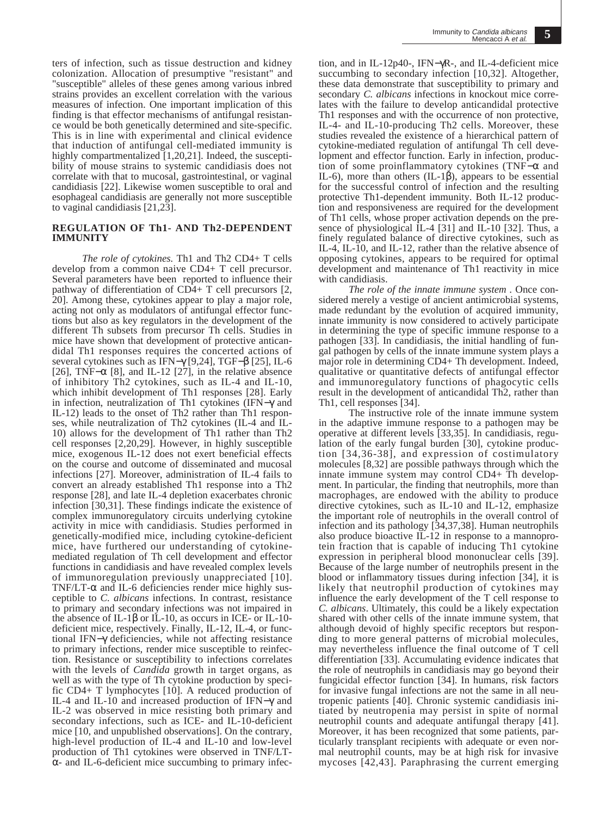ters of infection, such as tissue destruction and kidney colonization. Allocation of presumptive "resistant" and "susceptible" alleles of these genes among various inbred strains provides an excellent correlation with the various measures of infection. One important implication of this finding is that effector mechanisms of antifungal resistance would be both genetically determined and site-specific. This is in line with experimental and clinical evidence that induction of antifungal cell-mediated immunity is highly compartmentalized [1,20,21]. Indeed, the susceptibility of mouse strains to systemic candidiasis does not correlate with that to mucosal, gastrointestinal, or vaginal candidiasis [22]. Likewise women susceptible to oral and esophageal candidiasis are generally not more susceptible to vaginal candidiasis [21,23].

### **REGULATION OF Th1- AND Th2-DEPENDENT IMMUNITY**

*The role of cytokines.* Th1 and Th2 CD4+ T cells develop from a common naive CD4+ T cell precursor. Several parameters have been reported to influence their pathway of differentiation of CD4+ T cell precursors [2, 20]. Among these, cytokines appear to play a major role, acting not only as modulators of antifungal effector functions but also as key regulators in the development of the different Th subsets from precursor Th cells. Studies in mice have shown that development of protective anticandidal Th1 responses requires the concerted actions of several cytokines such as IFN−γ [9,24], TGF−β [25], IL-6 [26], TNF– $\alpha$  [8], and IL-12 [27], in the relative absence of inhibitory Th2 cytokines, such as IL-4 and IL-10, which inhibit development of Th1 responses [28]. Early in infection, neutralization of Th1 cytokines (IFN−γ and IL-12) leads to the onset of Th2 rather than Th1 responses, while neutralization of Th2 cytokines (IL-4 and IL-10) allows for the development of Th1 rather than Th2 cell responses [2,20,29]. However, in highly susceptible mice, exogenous IL-12 does not exert beneficial effects on the course and outcome of disseminated and mucosal infections [27]. Moreover, administration of IL-4 fails to convert an already established Th1 response into a Th2 response [28], and late IL-4 depletion exacerbates chronic infection [30,31]. These findings indicate the existence of complex immunoregulatory circuits underlying cytokine activity in mice with candidiasis. Studies performed in genetically-modified mice, including cytokine-deficient mice, have furthered our understanding of cytokinemediated regulation of Th cell development and effector functions in candidiasis and have revealed complex levels of immunoregulation previously unappreciated [10]. TNF/LT- $\alpha$  and IL-6 deficiencies render mice highly susceptible to *C. albicans* infections. In contrast, resistance to primary and secondary infections was not impaired in the absence of IL-1β or IL-10, as occurs in ICE- or IL-10 deficient mice, respectively. Finally, IL-12, IL-4, or functional IFN−γ deficiencies, while not affecting resistance to primary infections, render mice susceptible to reinfection. Resistance or susceptibility to infections correlates with the levels of *Candida* growth in target organs, as well as with the type of Th cytokine production by specific CD4+ T lymphocytes [10]. A reduced production of IL-4 and IL-10 and increased production of IFN−γ and IL-2 was observed in mice resisting both primary and secondary infections, such as ICE- and IL-10-deficient mice [10, and unpublished observations]. On the contrary, high-level production of IL-4 and IL-10 and low-level production of Th1 cytokines were observed in TNF/LTα- and IL-6-deficient mice succumbing to primary infection, and in IL-12p40-, IFN−γR-, and IL-4-deficient mice succumbing to secondary infection [10,32]. Altogether, these data demonstrate that susceptibility to primary and secondary *C. albicans* infections in knockout mice correlates with the failure to develop anticandidal protective Th1 responses and with the occurrence of non protective, IL-4- and IL-10-producing Th2 cells. Moreover, these studies revealed the existence of a hierarchical pattern of cytokine-mediated regulation of antifungal Th cell development and effector function. Early in infection, production of some proinflammatory cytokines (TNF−α and IL-6), more than others (IL-1β), appears to be essential for the successful control of infection and the resulting protective Th1-dependent immunity. Both IL-12 production and responsiveness are required for the development of Th1 cells, whose proper activation depends on the presence of physiological IL-4 [31] and IL-10 [32]. Thus, a finely regulated balance of directive cytokines, such as IL-4, IL-10, and IL-12, rather than the relative absence of opposing cytokines, appears to be required for optimal development and maintenance of Th1 reactivity in mice with candidiasis.

*The role of the innate immune system .* Once considered merely a vestige of ancient antimicrobial systems, made redundant by the evolution of acquired immunity, innate immunity is now considered to actively participate in determining the type of specific immune response to a pathogen [33]. In candidiasis, the initial handling of fungal pathogen by cells of the innate immune system plays a major role in determining CD4+ Th development. Indeed, qualitative or quantitative defects of antifungal effector and immunoregulatory functions of phagocytic cells result in the development of anticandidal Th2, rather than Th1, cell responses [34].

The instructive role of the innate immune system in the adaptive immune response to a pathogen may be operative at different levels [33,35]. In candidiasis, regulation of the early fungal burden [30], cytokine production [34,36-38], and expression of costimulatory molecules [8,32] are possible pathways through which the innate immune system may control CD4+ Th development. In particular, the finding that neutrophils, more than macrophages, are endowed with the ability to produce directive cytokines, such as IL-10 and IL-12, emphasize the important role of neutrophils in the overall control of infection and its pathology [34,37,38]. Human neutrophils also produce bioactive  $\overline{L}$ -12 in response to a mannoprotein fraction that is capable of inducing Th1 cytokine expression in peripheral blood mononuclear cells [39]. Because of the large number of neutrophils present in the blood or inflammatory tissues during infection [34], it is likely that neutrophil production of cytokines may influence the early development of the T cell response to *C. albicans*. Ultimately, this could be a likely expectation shared with other cells of the innate immune system, that although devoid of highly specific receptors but responding to more general patterns of microbial molecules, may nevertheless influence the final outcome of T cell differentiation [33]. Accumulating evidence indicates that the role of neutrophils in candidiasis may go beyond their fungicidal effector function [34]. In humans, risk factors for invasive fungal infections are not the same in all neutropenic patients [40]. Chronic systemic candidiasis initiated by neutropenia may persist in spite of normal neutrophil counts and adequate antifungal therapy [41]. Moreover, it has been recognized that some patients, particularly transplant recipients with adequate or even normal neutrophil counts, may be at high risk for invasive mycoses [42,43]. Paraphrasing the current emerging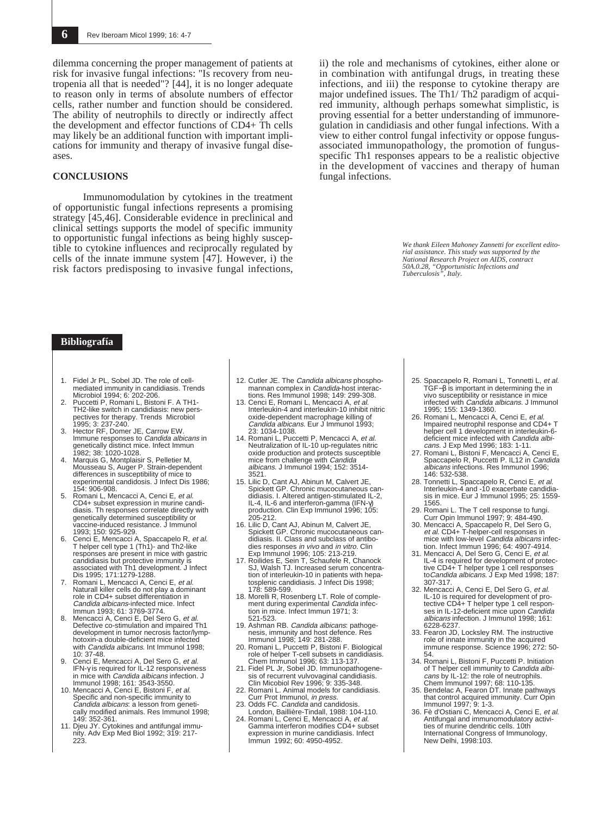dilemma concerning the proper management of patients at risk for invasive fungal infections: "Is recovery from neutropenia all that is needed"? [44], it is no longer adequate to reason only in terms of absolute numbers of effector cells, rather number and function should be considered. The ability of neutrophils to directly or indirectly affect the development and effector functions of CD4+ Th cells may likely be an additional function with important implications for immunity and therapy of invasive fungal diseases.

#### **CONCLUSIONS**

Immunomodulation by cytokines in the treatment of opportunistic fungal infections represents a promising strategy [45,46]. Considerable evidence in preclinical and clinical settings supports the model of specific immunity to opportunistic fungal infections as being highly susceptible to cytokine influences and reciprocally regulated by cells of the innate immune system [47]. However, i) the risk factors predisposing to invasive fungal infections,

ii) the role and mechanisms of cytokines, either alone or in combination with antifungal drugs, in treating these infections, and iii) the response to cytokine therapy are major undefined issues. The Th1/ Th2 paradigm of acquired immunity, although perhaps somewhat simplistic, is proving essential for a better understanding of immunoregulation in candidiasis and other fungal infections. With a view to either control fungal infectivity or oppose fungusassociated immunopathology, the promotion of fungusspecific Th1 responses appears to be a realistic objective in the development of vaccines and therapy of human fungal infections.

> *We thank Eileen Mahoney Zannetti for excellent editorial assistance. This study was supported by the National Research Project on AIDS, contract 50A.0.28, "Opportunistic Infections and Tuberculosis", Italy.*

## **Bibliografía**

- 1. Fidel Jr PL, Sobel JD. The role of cellmediated immunity in candidiasis. Trends Microbiol 1994; 6: 202-206.
- 2. Puccetti P, Romani L, Bistoni F. A TH1- TH2-like switch in candidiasis: new pers-pectives for therapy. Trends Microbiol 1995; 3: 237-240.
- 3. Hector RF, Domer JE, Carrow EW. Immune responses to Candida albicans in genetically distinct mice. Infect Immun 1982; 38: 1020-1028. 4. Marquis G, Montplaisir S, Pelletier M,
- Mousseau S, Auger P. Strain-dependent differences in susceptibility of mice to experimental candidosis. J Infect Dis 1986; 154: 906-908.
- 5. Romani L, Mencacci A, Cenci E, et al. CD4+ subset expression in murine candidiasis. Th responses correlate directly with genetically determined susceptibility or vaccine-induced resistance. J Immunol 1993; 150: 925-929.<br>Cenci E, Mencacci A, Spaccapelo R, et al.
- 6. Cenci E, Mencacci A, Spaccapelo R, et T helper cell type 1 (Th1)- and Th2-like responses are present in mice with gastric candidiasis but protective immunity is associated with Th1 development. J Infect Dis 1995; 171:1279-1288.<br>Romani L. Mencacci A. Cenci E. et al.
- 7. Romani L, Mencacci A, Cenci E, et al.<br>Naturall killer cells do not play a dominant role in CD4+ subset differentiation in Candida albicans-infected mice. Infect Immun 1993; 61: 3769-3774.
- 8. Mencacci A, Cenci E, Del Sero G, *et al.*<br>Defective co-stimulation and impaired Th1<br>development in tumor necrosis factor/lymphotoxin-a double-deficient mice infected with *Candida albicans*. Int Immunol 1998;  $10.37 - 48$
- 9. Cenci E, Mencacci A, Del Sero G, et al. IFN-γ is required for IL-12 responsiveness<br>in mice with *Candida albicans* infection. J Immunol 1998; 161: 3543-3550.
- 10. Mencacci A, Cenci E, Bistoni F, et al.<br>Specific and non-specific immunity to Candida albicans: a lesson from genetically modified animals. Res Immunol 1998; 149: 352-361.
- 11. Djeu JY. Cytokines and antifungal immunity. Adv Exp Med Biol 1992; 319: 217- 223.
- 12. Cutler JE. The Candida albicans phosphomannan complex in *Candida*-host interac-<br>tions. Res Immunol 1998; 149: 299-308.
- 13. Cenci E, Romani L, Mencacci A, et al. Interleukin-4 and interleukin-10 inhibit nitric oxide-dependent macrophage killing of Candida albicans. Eur J Immunol 1993;
- 23: 1034-1038.<br>14. Romani L, Puccetti P, Mencacci A, et al. Neutralization of IL-10 up-regulates nitric oxide production and protects susceptible<br>mice from challenge with *Candida* albicans. J Immunol 1994; 152: 3514- 3521.
- 15. Lilic D, Cant AJ, Abinun M, Calvert JE, Spickett GP. Chronic mucocutaneous candidiasis. I. Altered antigen-stimulated IL-2, IL-4, IL-6 and interferon-gamma (IFN-γ) production. Clin Exp Immunol 1996; 105: 205-212.
- 16. Lilic D, Cant AJ, Abinun M, Calvert JE, Spickett GP. Chronic mucocutaneous can-didiasis. II. Class and subclass of antibodies responses in vivo and in vitro. Clin
- Exp Immunol 1996; 105: 213-219. 17. Roilides E, Sein T, Schaufele R, Chanock SJ, Walsh TJ. Increased serum concentration of interleukin-10 in patients with hepa-tosplenic candidiasis. J Infect Dis 1998; 178: 589-599.
- 18. Morelli R, Rosenberg LT. Role of comple-ment during experimental Candida infection in mice. Infect Immun 1971; 3: 521-523.
- 19. Ashman RB. Candida albicans: pathogenesis, immunity and host defence. Res Immunol 1998; 149: 281-288.
- 20. Romani L, Puccetti P, Bistoni F. Biological role of helper T-cell subsets in candidiasis. Chem Immunol 1996; 63: 113-137.
- 21. Fidel PL Jr, Sobel JD. Immunopathogenesis of recurrent vulvovaginal candidiasis. Clin Micobiol Rev 1996; 9: 335-348.
- 22. Romani L. Animal models for candidiasis. Curr Prot Immunol, in press.
- 23. Odds FC. Candida and candidosis London, Baillière-Tindall, 1988: 104-110. 24. Romani L, Cenci E, Mencacci A, et al.
- Gamma interferon modifies CD4+ subset expression in murine candidiasis. Infect Immun 1992; 60: 4950-4952.
- 25. Spaccapelo R, Romani L, Tonnetti L, *et al.*<br>TGF−β is important in determining the in<br>vivo susceptibility or resistance in mice infected with *Candida albicans*. J Immunol<br>1995; 155: 1349-1360.<br>26. Romani L, Mencacci A, Cenci E, *et al*.
- Impaired neutrophil response and CD4+ T helper cell 1 development in interleukin-6-<br>deficient mice infected with *Candida albi*cans. J Exp Med 1996; 183: 1-11.
- 27. Romani L, Bistoni F, Mencacci A, Cenci E,<br>Spaccapelo R, Puccetti P. IL12 in Candida albicans infections. Res Immunol 1996; 146: 532-538.
- 28. Tonnetti L, Spaccapelo R, Cenci E, et al. Interleukin-4 and -10 exacerbate candidia-sis in mice. Eur J Immunol 1995; 25: 1559- 1565.
- 
- 29. Romani L. The T cell response to fungi. Curr Opin Immunol 1997; 9: 484-490. 30. Mencacci A, Spaccapelo R, Del Sero G, *et al*. CD4+ T-helper-cell responses in<br>mice with low-level *Candida albicans* infection. Infect Immun 1996; 64: 4907-4914.
- 31. Mencacci A, Del Sero G, Cenci E, et al.<br>IL-4 is required for development of protective CD4+ T helper type 1 cell responses toCandida albicans. J Exp Med 1998; 187: 307-317.<br>32. Mencacci A, Cenci E, Del Sero G, et al.
- 32. Mencacci A, Cenci E, Del Sero G, et al.<br>IL-10 is required for development of pro-<br>tective CD4+ T helper type 1 cell responses in IL-12-deficient mice upon Candida albicans infection. J Immunol 1998; 161: 6228-6237.
- 33. Fearon JD, Locksley RM. The instructive role of innate immunity in the acquired immune response. Science 1996; 272: 50- 54.<br>34. Romani L. Bistoni F. Puccetti P. Initiation
- 34. Romani L, Bistoni F, Puccetti P. Initiation<br>of T helper cell immunity to *Candida albi-*<br>cans by IL-12: the role of neutrophils.<br>Chem Immunol 1997; 68: 110-135.<br>35. Bendelac A, Fearon DT. Innate pathways<br>that control a
- 
- ties of murine dendritic cells. 10th International Congress of Immunology, New Delhi, 1998:103.